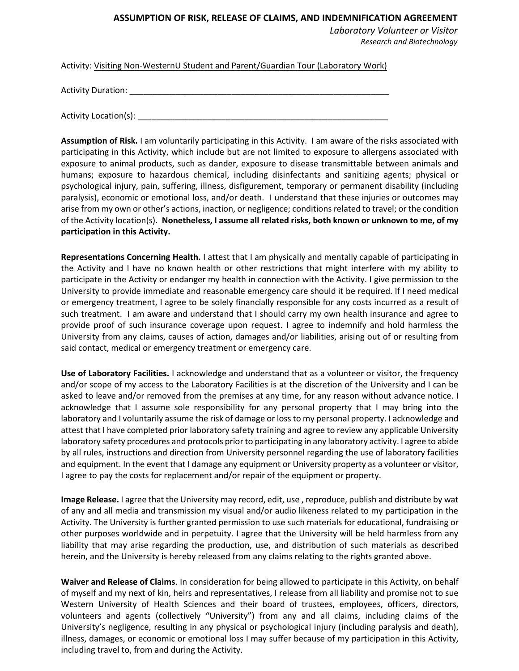## **ASSUMPTION OF RISK, RELEASE OF CLAIMS, AND INDEMNIFICATION AGREEMENT**

*Laboratory Volunteer or Visitor Research and Biotechnology*

Activity: Visiting Non-WesternU Student and Parent/Guardian Tour (Laboratory Work)

Activity Duration:

Activity Location(s):

**Assumption of Risk.** I am voluntarily participating in this Activity. I am aware of the risks associated with participating in this Activity, which include but are not limited to exposure to allergens associated with exposure to animal products, such as dander, exposure to disease transmittable between animals and humans; exposure to hazardous chemical, including disinfectants and sanitizing agents; physical or psychological injury, pain, suffering, illness, disfigurement, temporary or permanent disability (including paralysis), economic or emotional loss, and/or death. I understand that these injuries or outcomes may arise from my own or other's actions, inaction, or negligence; conditions related to travel; or the condition of the Activity location(s). **Nonetheless, I assume all related risks, both known or unknown to me, of my participation in this Activity.**

**Representations Concerning Health.** I attest that I am physically and mentally capable of participating in the Activity and I have no known health or other restrictions that might interfere with my ability to participate in the Activity or endanger my health in connection with the Activity. I give permission to the University to provide immediate and reasonable emergency care should it be required. If I need medical or emergency treatment, I agree to be solely financially responsible for any costs incurred as a result of such treatment. I am aware and understand that I should carry my own health insurance and agree to provide proof of such insurance coverage upon request. I agree to indemnify and hold harmless the University from any claims, causes of action, damages and/or liabilities, arising out of or resulting from said contact, medical or emergency treatment or emergency care.

**Use of Laboratory Facilities.** I acknowledge and understand that as a volunteer or visitor, the frequency and/or scope of my access to the Laboratory Facilities is at the discretion of the University and I can be asked to leave and/or removed from the premises at any time, for any reason without advance notice. I acknowledge that I assume sole responsibility for any personal property that I may bring into the laboratory and I voluntarily assume the risk of damage or loss to my personal property. I acknowledge and attest that I have completed prior laboratory safety training and agree to review any applicable University laboratory safety procedures and protocols prior to participating in any laboratory activity. I agree to abide by all rules, instructions and direction from University personnel regarding the use of laboratory facilities and equipment. In the event that I damage any equipment or University property as a volunteer or visitor, I agree to pay the costs for replacement and/or repair of the equipment or property.

**Image Release.** I agree that the University may record, edit, use , reproduce, publish and distribute by wat of any and all media and transmission my visual and/or audio likeness related to my participation in the Activity. The University is further granted permission to use such materials for educational, fundraising or other purposes worldwide and in perpetuity. I agree that the University will be held harmless from any liability that may arise regarding the production, use, and distribution of such materials as described herein, and the University is hereby released from any claims relating to the rights granted above.

**Waiver and Release of Claims**. In consideration for being allowed to participate in this Activity, on behalf of myself and my next of kin, heirs and representatives, I release from all liability and promise not to sue Western University of Health Sciences and their board of trustees, employees, officers, directors, volunteers and agents (collectively "University") from any and all claims, including claims of the University's negligence, resulting in any physical or psychological injury (including paralysis and death), illness, damages, or economic or emotional loss I may suffer because of my participation in this Activity, including travel to, from and during the Activity.